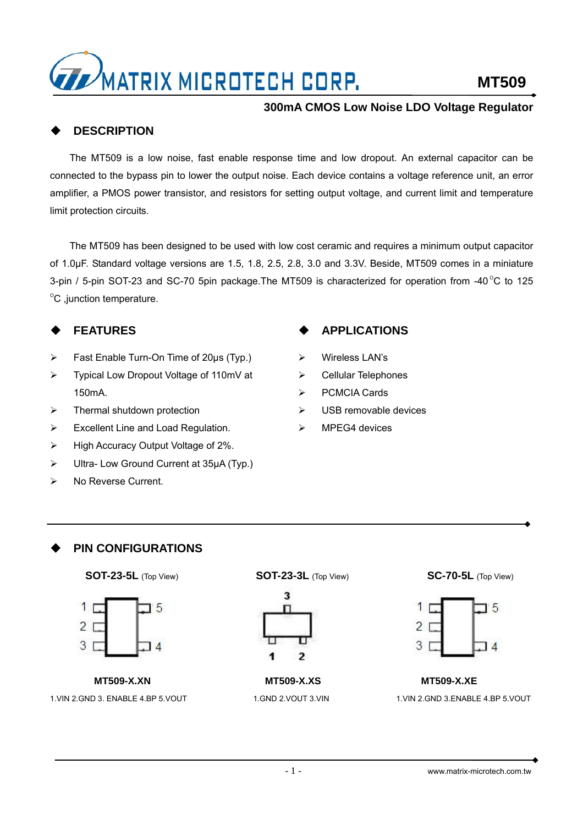

## **DESCRIPTION**

The MT509 is a low noise, fast enable response time and low dropout. An external capacitor can be connected to the bypass pin to lower the output noise. Each device contains a voltage reference unit, an error amplifier, a PMOS power transistor, and resistors for setting output voltage, and current limit and temperature limit protection circuits.

The MT509 has been designed to be used with low cost ceramic and requires a minimum output capacitor of 1.0µF. Standard voltage versions are 1.5, 1.8, 2.5, 2.8, 3.0 and 3.3V. Beside, MT509 comes in a miniature 3-pin / 5-pin SOT-23 and SC-70 5pin package. The MT509 is characterized for operation from -40 $^{\circ}$ C to 125  $\mathrm{^{\circ}C}$  ,junction temperature.

## **FEATURES**

- ¾ Fast Enable Turn-On Time of 20µs (Typ.)
- ¾ Typical Low Dropout Voltage of 110mV at 150mA.
- $\triangleright$  Thermal shutdown protection
- ¾ Excellent Line and Load Regulation.
- ¾ High Accuracy Output Voltage of 2%.
- ¾ Ultra- Low Ground Current at 35µA (Typ.)
- ¾ No Reverse Current.

## **APPLICATIONS**

- ¾ Wireless LAN's
- ¾ Cellular Telephones
- ¾ PCMCIA Cards
- $\triangleright$  USB removable devices
- MPEG4 devices

## **PIN CONFIGURATIONS**





**MT509-X.XN**  1.VIN 2.GND 3. ENABLE 4.BP 5.VOUT

**SOT-23-5L** (Top View) **SOT-23-3L** (Top View) **SC-70-5L** (Top View)



**MT509-X.XS**  1.GND 2.VOUT 3.VIN



## **MT509-X.XE**  1.VIN 2.GND 3.ENABLE 4.BP 5.VOUT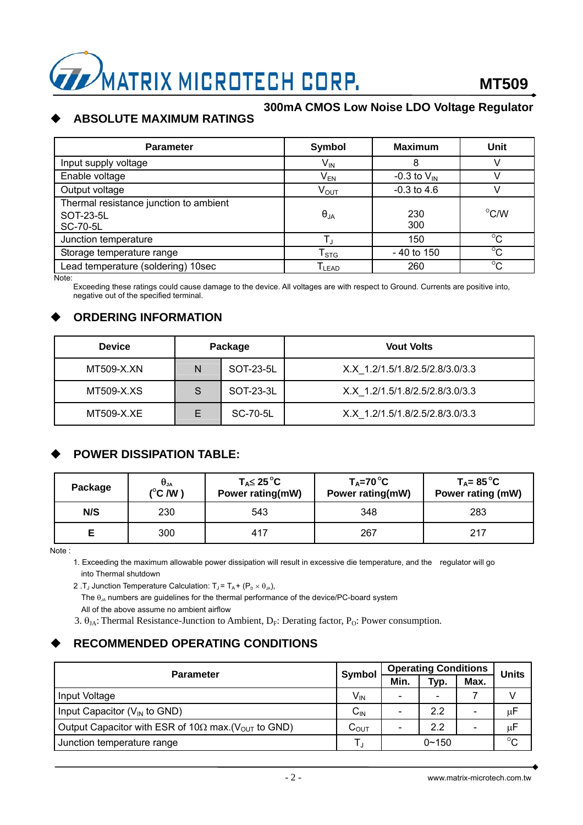

#### **300mA CMOS Low Noise LDO Voltage Regulator ABSOLUTE MAXIMUM RATINGS**

#### Parameter **National Industrial Symbol Maximum** Whit Input supply voltage  $V_{\text{IN}}$  8 V Enable voltage  $V_{EN}$  -0.3 to  $V_{IN}$  V Output voltage  $V_{\text{OUT}}$   $V_{\text{OUT}}$   $-0.3$  to 4.6 V Thermal resistance junction to ambient SOT-23-5L SC-70-5L  $\theta_{JA}$  230 300  $^{\circ}$ C/W Junction temperature T<sub>1</sub> T<sub>1</sub> 150  $\overline{C}$ Storage temperature range  $T_{STG}$   $1 - 40$  to 150  $^{\circ}$ C Lead temperature (soldering) 10sec  $T_{\text{LEAD}}$   $\qquad$  260  $\overline{c}$

Note:

Exceeding these ratings could cause damage to the device. All voltages are with respect to Ground. Currents are positive into, negative out of the specified terminal.

## **ORDERING INFORMATION**

| <b>Device</b> | Package |           | <b>Vout Volts</b>               |
|---------------|---------|-----------|---------------------------------|
| MT509-X.XN    | N       | SOT-23-5L | X.X 1.2/1.5/1.8/2.5/2.8/3.0/3.3 |
| MT509-X.XS    | S       | SOT-23-3L | X.X 1.2/1.5/1.8/2.5/2.8/3.0/3.3 |
| MT509-X.XE    | Е       | SC-70-5L  | X.X 1.2/1.5/1.8/2.5/2.8/3.0/3.3 |

## **POWER DISSIPATION TABLE:**

| Package | $\bm{\theta}_{\mathsf{JA}}$<br>$(^{\circ}C/W)$ | $T_A \leq 25^{\circ}C$<br>Power rating(mW) | $T_A = 70^{\circ}C$<br>Power rating(mW) | T <sub>A</sub> = 85 $^{\circ}$ C<br>Power rating (mW) |
|---------|------------------------------------------------|--------------------------------------------|-----------------------------------------|-------------------------------------------------------|
| N/S     | 230                                            | 543                                        | 348                                     | 283                                                   |
|         | 300                                            | 417                                        | 267                                     | 217                                                   |

Note :

1. Exceeding the maximum allowable power dissipation will result in excessive die temperature, and the regulator will go into Thermal shutdown

2 .T<sub>J</sub> Junction Temperature Calculation:  $T_J = T_A + (P_D \times \theta_M)$ ,

The  $\theta_{\mu}$  numbers are guidelines for the thermal performance of the device/PC-board system All of the above assume no ambient airflow

3.  $\theta_{IA}$ : Thermal Resistance-Junction to Ambient, D<sub>F</sub>: Derating factor, P<sub>O</sub>: Power consumption.

## **RECOMMENDED OPERATING CONDITIONS**

| <b>Parameter</b>                                                         |                    | <b>Operating Conditions</b> |                          |      | <b>Units</b> |
|--------------------------------------------------------------------------|--------------------|-----------------------------|--------------------------|------|--------------|
|                                                                          |                    | Min.                        | Typ.                     | Max. |              |
| Input Voltage                                                            | V <sub>IN</sub>    |                             | $\overline{\phantom{0}}$ |      |              |
| Input Capacitor $(V_{IN}$ to GND)                                        | ∪lN                |                             | 2.2                      | -    | μF           |
| Output Capacitor with ESR of 10 $\Omega$ max. ( $V_{\text{OUT}}$ to GND) | $\mathtt{C_{OUT}}$ |                             | 2.2                      |      | μF           |
| Junction temperature range                                               |                    |                             | $0 - 150$                |      | $^{\circ}$ C |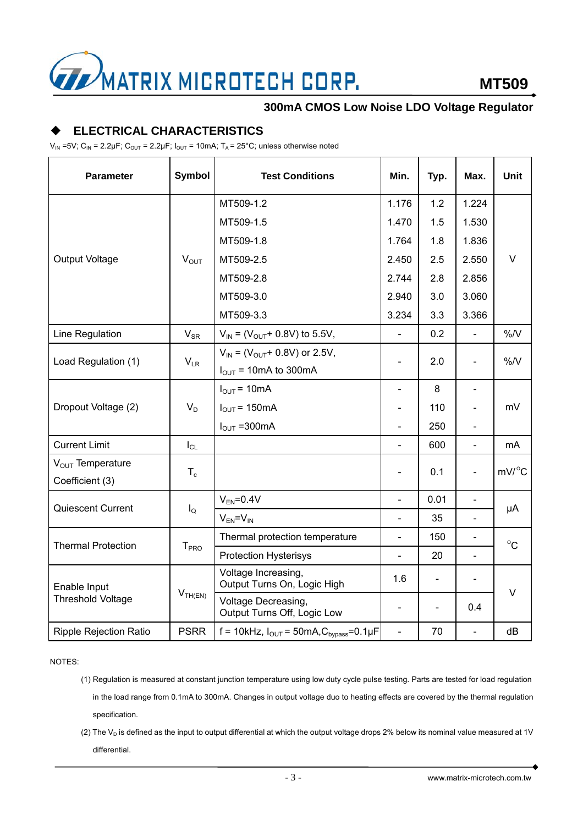

## **ELECTRICAL CHARACTERISTICS**

 $V_{\text{IN}}$  =5V; C<sub>IN</sub> = 2.2µF; C<sub>OUT</sub> = 2.2µF; I<sub>OUT</sub> = 10mA; T<sub>A</sub> = 25°C; unless otherwise noted

| <b>Parameter</b>                         | <b>Symbol</b>    | <b>Test Conditions</b>                                                      | Min.                     | Typ. | Max.                     | <b>Unit</b>      |
|------------------------------------------|------------------|-----------------------------------------------------------------------------|--------------------------|------|--------------------------|------------------|
| <b>Output Voltage</b>                    | $V_{OUT}$        | MT509-1.2                                                                   | 1.176                    | 1.2  | 1.224                    | V                |
|                                          |                  | MT509-1.5                                                                   | 1.470                    | 1.5  | 1.530                    |                  |
|                                          |                  | MT509-1.8                                                                   | 1.764                    | 1.8  | 1.836                    |                  |
|                                          |                  | MT509-2.5                                                                   | 2.450                    | 2.5  | 2.550                    |                  |
|                                          |                  | MT509-2.8                                                                   | 2.744                    | 2.8  | 2.856                    |                  |
|                                          |                  | MT509-3.0                                                                   | 2.940                    | 3.0  | 3.060                    |                  |
|                                          |                  | MT509-3.3                                                                   | 3.234                    | 3.3  | 3.366                    |                  |
| Line Regulation                          | $V_{SR}$         | $V_{IN}$ = ( $V_{OUT}$ + 0.8V) to 5.5V,                                     | $\blacksquare$           | 0.2  |                          | $\%N$            |
| Load Regulation (1)                      | $V_{LR}$         | $V_{IN}$ = ( $V_{OUT}$ + 0.8V) or 2.5V,<br>$I_{\text{OUT}}$ = 10mA to 300mA | $\blacksquare$           | 2.0  |                          | %N               |
| Dropout Voltage (2)                      | $V_D$            | $I_{\text{OUT}} = 10 \text{mA}$                                             | $\blacksquare$           | 8    | $\blacksquare$           |                  |
|                                          |                  | $I_{\text{OUT}}$ = 150 mA                                                   | $\sim$                   | 110  |                          | mV               |
|                                          |                  | $I_{\text{OUT}} = 300 \text{mA}$                                            | $\blacksquare$           | 250  |                          |                  |
| <b>Current Limit</b>                     | $I_{CL}$         |                                                                             | $\blacksquare$           | 600  | $\blacksquare$           | mA               |
| $V_{OUT}$ Temperature<br>Coefficient (3) | $T_c$            |                                                                             | $\blacksquare$           | 0.1  | $\blacksquare$           | $mV/{}^{\circ}C$ |
| Quiescent Current                        | $I_{\mathsf{Q}}$ | $V_{EN} = 0.4V$                                                             | $\overline{\phantom{a}}$ | 0.01 |                          | μA               |
|                                          |                  | $V_{EN} = V_{IN}$                                                           | $\blacksquare$           | 35   |                          |                  |
| <b>Thermal Protection</b>                | T <sub>PRO</sub> | Thermal protection temperature                                              | $\blacksquare$           | 150  |                          | $^{\circ}C$      |
|                                          |                  | <b>Protection Hysterisys</b>                                                | $\blacksquare$           | 20   | $\blacksquare$           |                  |
| Enable Input<br><b>Threshold Voltage</b> | $V_{TH(EN)}$     | Voltage Increasing,<br>Output Turns On, Logic High                          | 1.6                      |      |                          | V                |
|                                          |                  | Voltage Decreasing,<br>Output Turns Off, Logic Low                          | $\blacksquare$           | ÷,   | 0.4                      |                  |
| <b>Ripple Rejection Ratio</b>            | <b>PSRR</b>      | f = 10kHz, $I_{\text{OUT}}$ = 50mA, $C_{\text{bypass}}$ = 0.1µF             | $\blacksquare$           | 70   | $\overline{\phantom{0}}$ | dB               |

NOTES:

(1) Regulation is measured at constant junction temperature using low duty cycle pulse testing. Parts are tested for load regulation in the load range from 0.1mA to 300mA. Changes in output voltage duo to heating effects are covered by the thermal regulation specification.

(2) The  $V_D$  is defined as the input to output differential at which the output voltage drops 2% below its nominal value measured at 1V differential.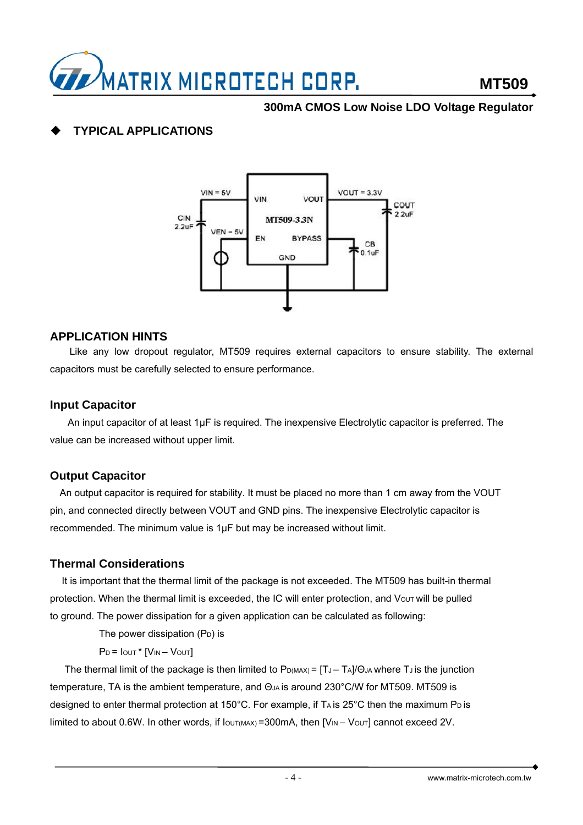

## **TYPICAL APPLICATIONS**



#### **APPLICATION HINTS**

Like any low dropout regulator, MT509 requires external capacitors to ensure stability. The external capacitors must be carefully selected to ensure performance.

#### **Input Capacitor**

An input capacitor of at least 1µF is required. The inexpensive Electrolytic capacitor is preferred. The value can be increased without upper limit.

#### **Output Capacitor**

An output capacitor is required for stability. It must be placed no more than 1 cm away from the VOUT pin, and connected directly between VOUT and GND pins. The inexpensive Electrolytic capacitor is recommended. The minimum value is 1µF but may be increased without limit.

#### **Thermal Considerations**

It is important that the thermal limit of the package is not exceeded. The MT509 has built-in thermal protection. When the thermal limit is exceeded, the IC will enter protection, and Vout will be pulled to ground. The power dissipation for a given application can be calculated as following:

The power dissipation  $(P_D)$  is

 $P_D = I_{OUT} * [V_{IN} - V_{OUT}]$ 

The thermal limit of the package is then limited to  $P_{D(MAX)} = [T_J - T_A]/\Theta_J$  where  $T_J$  is the junction temperature, TA is the ambient temperature, and ΘJA is around 230°C/W for MT509. MT509 is designed to enter thermal protection at 150°C. For example, if  $Ta$  is 25°C then the maximum  $P_D$  is limited to about 0.6W. In other words, if  $I_{\text{OUT}(MAX)} = 300 \text{mA}$ , then  $[V_{\text{IN}} - V_{\text{OUT}}]$  cannot exceed 2V.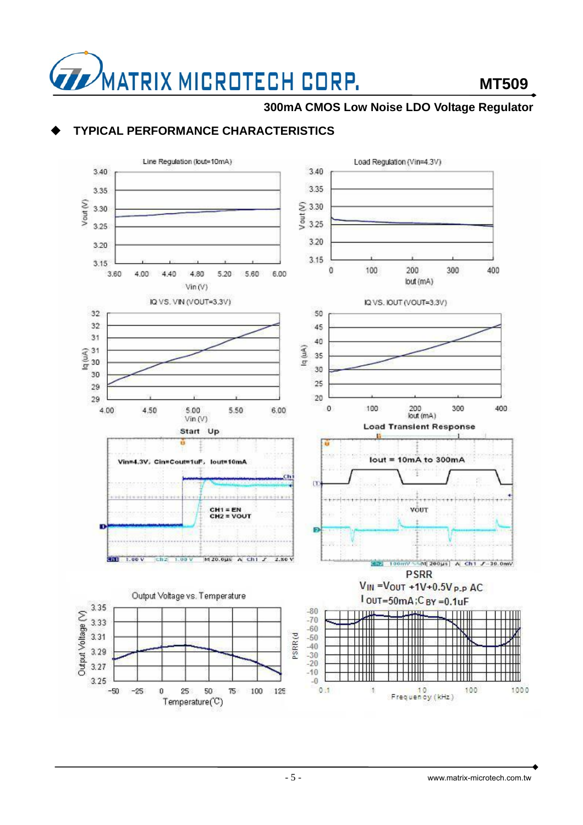![](_page_4_Picture_0.jpeg)

## **TYPICAL PERFORMANCE CHARACTERISTICS**

![](_page_4_Figure_4.jpeg)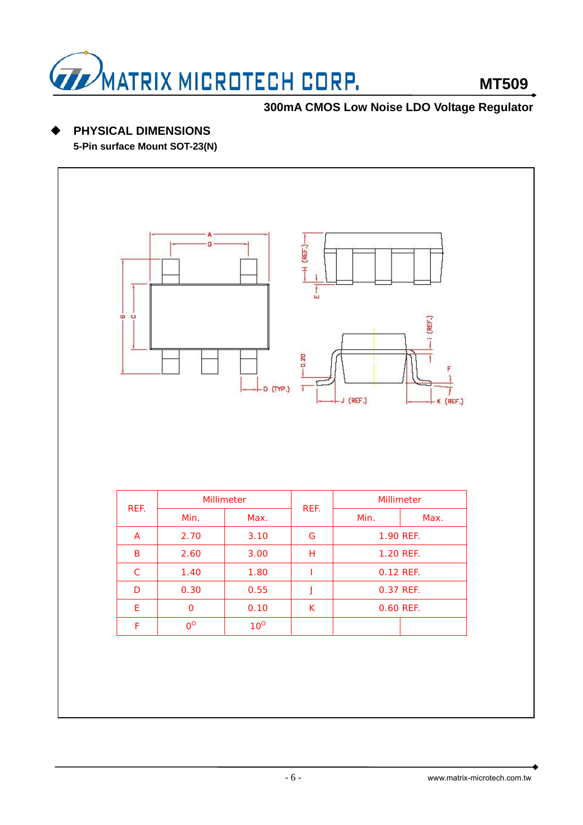![](_page_5_Picture_0.jpeg)

## **PHYSICAL DIMENSIONS**

**5-Pin surface Mount SOT-23(N)** 

![](_page_5_Figure_5.jpeg)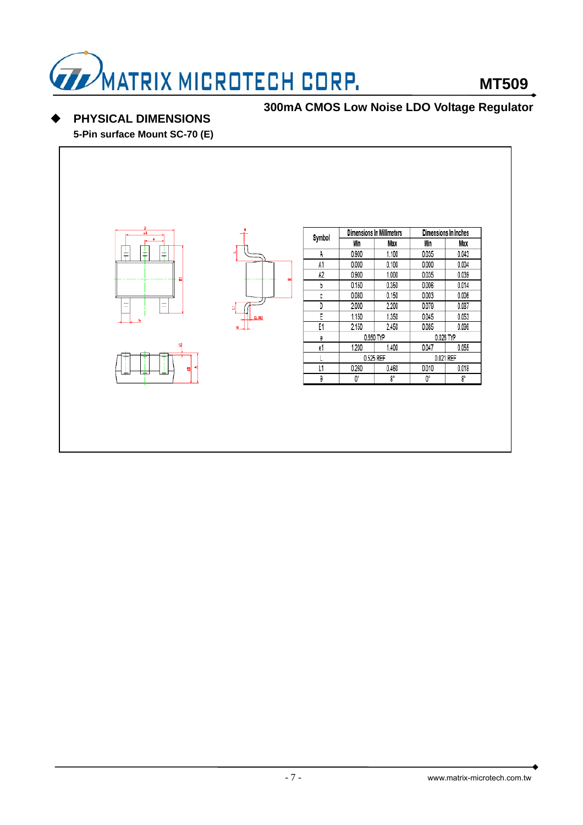![](_page_6_Picture_0.jpeg)

**PHYSICAL DIMENSIONS** 

![](_page_6_Figure_4.jpeg)